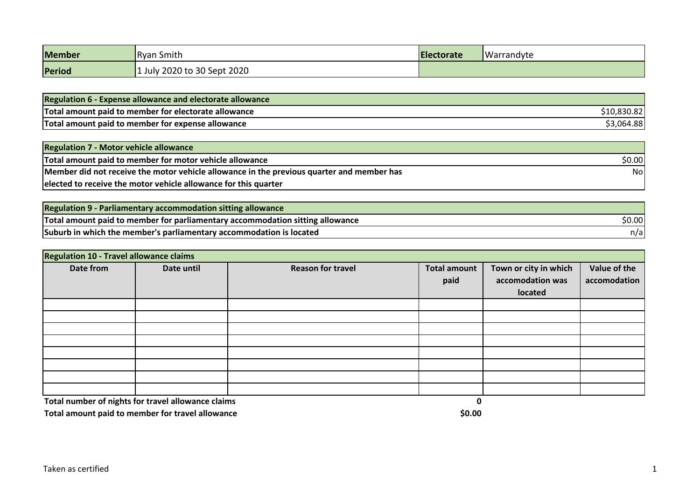| <b>Member</b> | <b>Ryan Smith</b>           | <b>Electorate</b> | Warrandyte |
|---------------|-----------------------------|-------------------|------------|
| Period        | 1 July 2020 to 30 Sept 2020 |                   |            |

| <b>Regulation 6 - Expense allowance and electorate allowance</b> |            |
|------------------------------------------------------------------|------------|
| Total amount paid to member for electorate allowance             |            |
| Total amount paid to member for expense allowance                | \$3,064.88 |

| <b>Regulation 7 - Motor vehicle allowance</b>                                             |        |
|-------------------------------------------------------------------------------------------|--------|
| Total amount paid to member for motor vehicle allowance                                   | \$0.00 |
| Member did not receive the motor vehicle allowance in the previous quarter and member has | Nol    |
| elected to receive the motor vehicle allowance for this quarter                           |        |

| <b>Regulation 9 - Parliamentary accommodation sitting allowance</b>           |        |
|-------------------------------------------------------------------------------|--------|
| Total amount paid to member for parliamentary accommodation sitting allowance | \$0.00 |
| Suburb in which the member's parliamentary accommodation is located           | n/al   |

| Regulation 10 - Travel allowance claims |            |                          |                     |                       |              |
|-----------------------------------------|------------|--------------------------|---------------------|-----------------------|--------------|
| Date from                               | Date until | <b>Reason for travel</b> | <b>Total amount</b> | Town or city in which | Value of the |
|                                         |            |                          | paid                | accomodation was      | accomodation |
|                                         |            |                          |                     | located               |              |
|                                         |            |                          |                     |                       |              |
|                                         |            |                          |                     |                       |              |
|                                         |            |                          |                     |                       |              |
|                                         |            |                          |                     |                       |              |
|                                         |            |                          |                     |                       |              |
|                                         |            |                          |                     |                       |              |
|                                         |            |                          |                     |                       |              |
|                                         |            |                          |                     |                       |              |

**Total number of nights for travel allowance claims 0**

**Total amount paid to member for travel allowance <b>10.00 10.00 10.00 10.00 10.00**